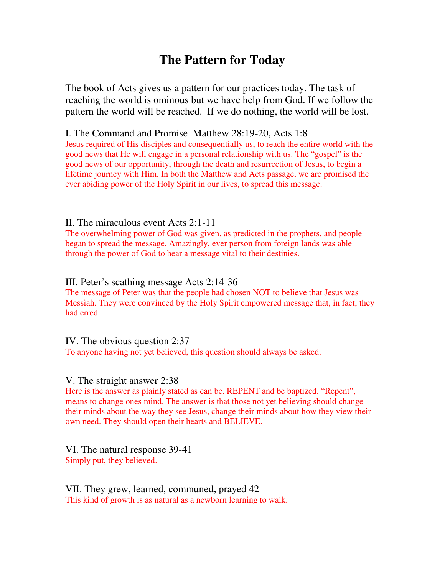# **The Pattern for Today**

The book of Acts gives us a pattern for our practices today. The task of reaching the world is ominous but we have help from God. If we follow the pattern the world will be reached. If we do nothing, the world will be lost.

I. The Command and Promise Matthew 28:19-20, Acts 1:8

Jesus required of His disciples and consequentially us, to reach the entire world with the good news that He will engage in a personal relationship with us. The "gospel" is the good news of our opportunity, through the death and resurrection of Jesus, to begin a lifetime journey with Him. In both the Matthew and Acts passage, we are promised the ever abiding power of the Holy Spirit in our lives, to spread this message.

## II. The miraculous event Acts 2:1-11

The overwhelming power of God was given, as predicted in the prophets, and people began to spread the message. Amazingly, ever person from foreign lands was able through the power of God to hear a message vital to their destinies.

## III. Peter's scathing message Acts 2:14-36

The message of Peter was that the people had chosen NOT to believe that Jesus was Messiah. They were convinced by the Holy Spirit empowered message that, in fact, they had erred.

IV. The obvious question 2:37

To anyone having not yet believed, this question should always be asked.

## V. The straight answer 2:38

Here is the answer as plainly stated as can be. REPENT and be baptized. "Repent", means to change ones mind. The answer is that those not yet believing should change their minds about the way they see Jesus, change their minds about how they view their own need. They should open their hearts and BELIEVE.

VI. The natural response 39-41 Simply put, they believed.

VII. They grew, learned, communed, prayed 42 This kind of growth is as natural as a newborn learning to walk.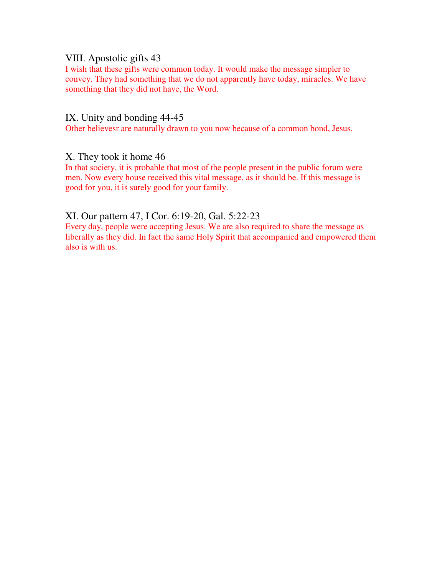## VIII. Apostolic gifts 43

I wish that these gifts were common today. It would make the message simpler to convey. They had something that we do not apparently have today, miracles. We have something that they did not have, the Word.

#### IX. Unity and bonding 44-45

Other believesr are naturally drawn to you now because of a common bond, Jesus.

#### X. They took it home 46

In that society, it is probable that most of the people present in the public forum were men. Now every house received this vital message, as it should be. If this message is good for you, it is surely good for your family.

#### XI. Our pattern 47, I Cor. 6:19-20, Gal. 5:22-23

Every day, people were accepting Jesus. We are also required to share the message as liberally as they did. In fact the same Holy Spirit that accompanied and empowered them also is with us.